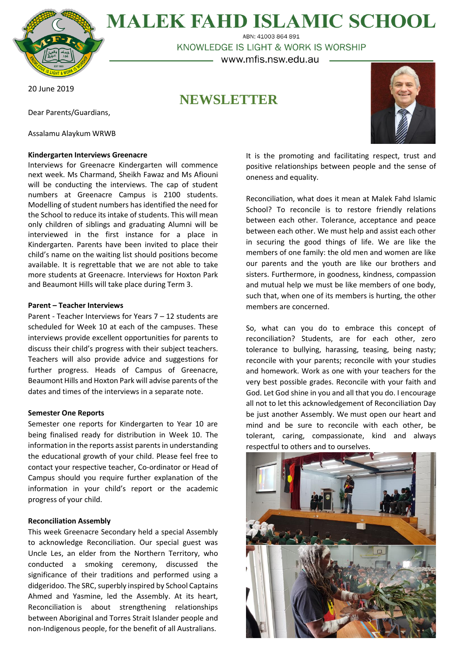

**MALEK FAHD ISLAMIC SCHOOL** ABN: 41003 864 891

KNOWLEDGE IS LIGHT & WORK IS WORSHIP

– www.mfis.nsw.edu.au –

20 June 2019

**NEWSLETTER**

Dear Parents/Guardians,

Assalamu Alaykum WRWB

# **Kindergarten Interviews Greenacre**

Interviews for Greenacre Kindergarten will commence next week. Ms Charmand, Sheikh Fawaz and Ms Afiouni will be conducting the interviews. The cap of student numbers at Greenacre Campus is 2100 students. Modelling of student numbers has identified the need for the School to reduce its intake of students. This will mean only children of siblings and graduating Alumni will be interviewed in the first instance for a place in Kindergarten. Parents have been invited to place their child's name on the waiting list should positions become available. It is regrettable that we are not able to take more students at Greenacre. Interviews for Hoxton Park and Beaumont Hills will take place during Term 3.

## **Parent – Teacher Interviews**

Parent - Teacher Interviews for Years 7 – 12 students are scheduled for Week 10 at each of the campuses. These interviews provide excellent opportunities for parents to discuss their child's progress with their subject teachers. Teachers will also provide advice and suggestions for further progress. Heads of Campus of Greenacre, Beaumont Hills and Hoxton Park will advise parents of the dates and times of the interviews in a separate note.

### **Semester One Reports**

Semester one reports for Kindergarten to Year 10 are being finalised ready for distribution in Week 10. The information in the reports assist parents in understanding the educational growth of your child. Please feel free to contact your respective teacher, Co-ordinator or Head of Campus should you require further explanation of the information in your child's report or the academic progress of your child.

### **Reconciliation Assembly**

This week Greenacre Secondary held a special Assembly to acknowledge Reconciliation. Our special guest was Uncle Les, an elder from the Northern Territory, who conducted a smoking ceremony, discussed the significance of their traditions and performed using a didgeridoo. The SRC, superbly inspired by School Captains Ahmed and Yasmine, led the Assembly. At its heart, Reconciliation is about strengthening relationships between Aboriginal and Torres Strait Islander people and non-Indigenous people, for the benefit of all Australians.



It is the promoting and facilitating respect, trust and positive relationships between people and the sense of oneness and equality.

Reconciliation, what does it mean at Malek Fahd Islamic School? To reconcile is to restore friendly relations between each other. Tolerance, acceptance and peace between each other. We must help and assist each other in securing the good things of life. We are like the members of one family: the old men and women are like our parents and the youth are like our brothers and sisters. Furthermore, in goodness, kindness, compassion and mutual help we must be like members of one body, such that, when one of its members is hurting, the other members are concerned.

So, what can you do to embrace this concept of reconciliation? Students, are for each other, zero tolerance to bullying, harassing, teasing, being nasty; reconcile with your parents; reconcile with your studies and homework. Work as one with your teachers for the very best possible grades. Reconcile with your faith and God. Let God shine in you and all that you do. I encourage all not to let this acknowledgement of Reconciliation Day be just another Assembly. We must open our heart and mind and be sure to reconcile with each other, be tolerant, caring, compassionate, kind and always respectful to others and to ourselves.

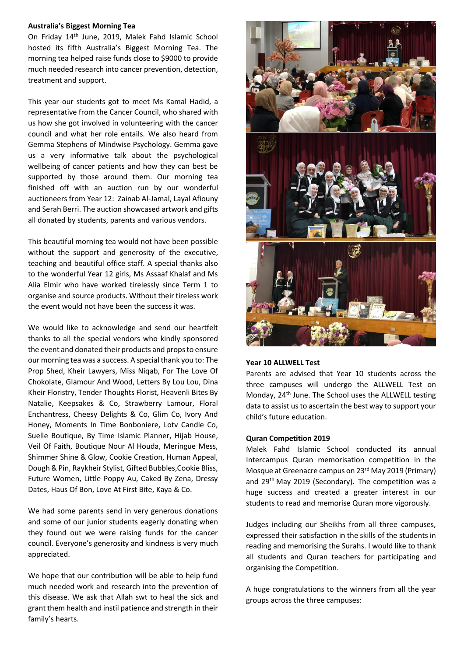### **Australia's Biggest Morning Tea**

On Friday 14th June, 2019, Malek Fahd Islamic School hosted its fifth Australia's Biggest Morning Tea. The morning tea helped raise funds close to \$9000 to provide much needed research into cancer prevention, detection, treatment and support.

This year our students got to meet Ms Kamal Hadid, a representative from the Cancer Council, who shared with us how she got involved in volunteering with the cancer council and what her role entails. We also heard from Gemma Stephens of Mindwise Psychology. Gemma gave us a very informative talk about the psychological wellbeing of cancer patients and how they can best be supported by those around them. Our morning tea finished off with an auction run by our wonderful auctioneers from Year 12: Zainab Al-Jamal, Layal Afiouny and Serah Berri. The auction showcased artwork and gifts all donated by students, parents and various vendors.

This beautiful morning tea would not have been possible without the support and generosity of the executive, teaching and beautiful office staff. A special thanks also to the wonderful Year 12 girls, Ms Assaaf Khalaf and Ms Alia Elmir who have worked tirelessly since Term 1 to organise and source products. Without their tireless work the event would not have been the success it was.

We would like to acknowledge and send our heartfelt thanks to all the special vendors who kindly sponsored the event and donated their products and props to ensure our morning tea was a success. A special thank you to: The Prop Shed, Kheir Lawyers, Miss Niqab, For The Love Of Chokolate, Glamour And Wood, Letters By Lou Lou, Dina Kheir Floristry, Tender Thoughts Florist, Heavenli Bites By Natalie, Keepsakes & Co, Strawberry Lamour, Floral Enchantress, Cheesy Delights & Co, Glim Co, Ivory And Honey, Moments In Time Bonboniere, Lotv Candle Co, Suelle Boutique, By Time Islamic Planner, Hijab House, Veil Of Faith, Boutique Nour Al Houda, Meringue Mess, Shimmer Shine & Glow, Cookie Creation, Human Appeal, Dough & Pin, Raykheir Stylist, Gifted Bubbles,Cookie Bliss, Future Women, Little Poppy Au, Caked By Zena, Dressy Dates, Haus Of Bon, Love At First Bite, Kaya & Co.

We had some parents send in very generous donations and some of our junior students eagerly donating when they found out we were raising funds for the cancer council. Everyone's generosity and kindness is very much appreciated.

We hope that our contribution will be able to help fund much needed work and research into the prevention of this disease. We ask that Allah swt to heal the sick and grant them health and instil patience and strength in their family's hearts.



### **Year 10 ALLWELL Test**

Parents are advised that Year 10 students across the three campuses will undergo the ALLWELL Test on Monday, 24<sup>th</sup> June. The School uses the ALLWELL testing data to assist us to ascertain the best way to support your child's future education.

#### **Quran Competition 2019**

Malek Fahd Islamic School conducted its annual Intercampus Quran memorisation competition in the Mosque at Greenacre campus on 23rd May 2019 (Primary) and 29<sup>th</sup> May 2019 (Secondary). The competition was a huge success and created a greater interest in our students to read and memorise Quran more vigorously.

Judges including our Sheikhs from all three campuses, expressed their satisfaction in the skills of the students in reading and memorising the Surahs. I would like to thank all students and Quran teachers for participating and organising the Competition.

A huge congratulations to the winners from all the year groups across the three campuses: